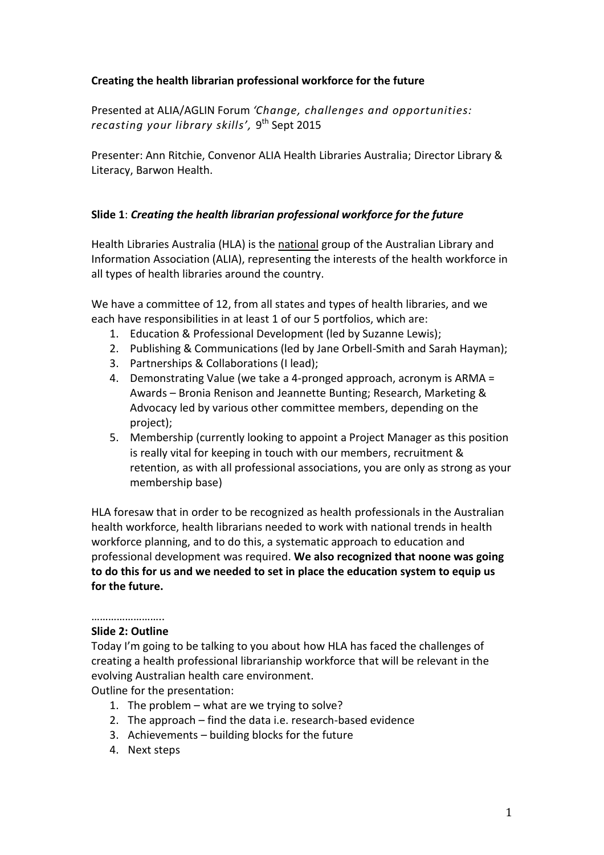### **Creating the health librarian professional workforce for the future**

Presented at ALIA/AGLIN Forum *'Change, challenges and opportunities: recasting your library skills',* 9 th Sept 2015

Presenter: Ann Ritchie, Convenor ALIA Health Libraries Australia; Director Library & Literacy, Barwon Health.

### **Slide 1**: *Creating the health librarian professional workforce for the future*

Health Libraries Australia (HLA) is the national group of the Australian Library and Information Association (ALIA), representing the interests of the health workforce in all types of health libraries around the country.

We have a committee of 12, from all states and types of health libraries, and we each have responsibilities in at least 1 of our 5 portfolios, which are:

- 1. Education & Professional Development (led by Suzanne Lewis);
- 2. Publishing & Communications (led by Jane Orbell-Smith and Sarah Hayman);
- 3. Partnerships & Collaborations (I lead);
- 4. Demonstrating Value (we take a 4-pronged approach, acronym is ARMA = Awards – Bronia Renison and Jeannette Bunting; Research, Marketing & Advocacy led by various other committee members, depending on the project);
- 5. Membership (currently looking to appoint a Project Manager as this position is really vital for keeping in touch with our members, recruitment & retention, as with all professional associations, you are only as strong as your membership base)

HLA foresaw that in order to be recognized as health professionals in the Australian health workforce, health librarians needed to work with national trends in health workforce planning, and to do this, a systematic approach to education and professional development was required. **We also recognized that noone was going to do this for us and we needed to set in place the education system to equip us for the future.** 

# ……………………

### **Slide 2: Outline**

Today I'm going to be talking to you about how HLA has faced the challenges of creating a health professional librarianship workforce that will be relevant in the evolving Australian health care environment.

Outline for the presentation:

- 1. The problem what are we trying to solve?
- 2. The approach find the data i.e. research-based evidence
- 3. Achievements building blocks for the future
- 4. Next steps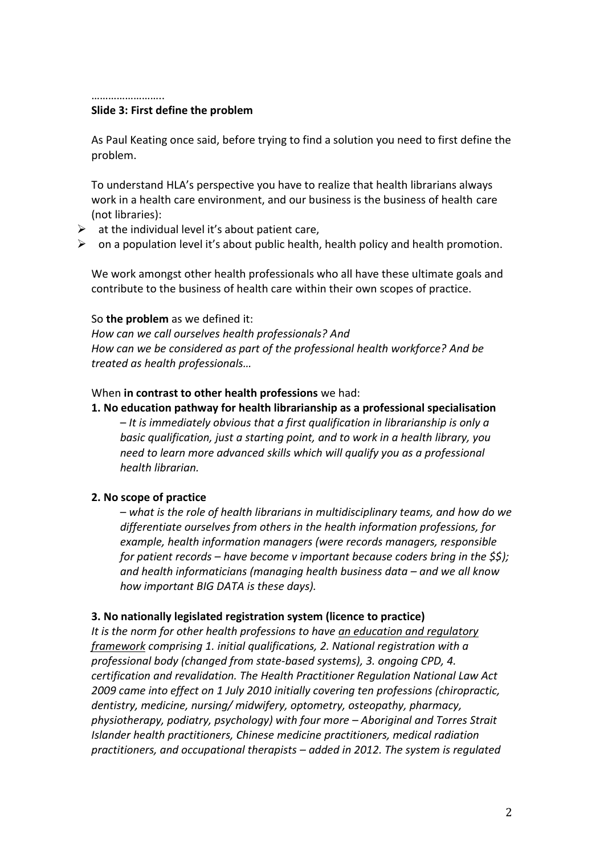…………………………

#### **Slide 3: First define the problem**

As Paul Keating once said, before trying to find a solution you need to first define the problem.

To understand HLA's perspective you have to realize that health librarians always work in a health care environment, and our business is the business of health care (not libraries):

- $\triangleright$  at the individual level it's about patient care,
- $\triangleright$  on a population level it's about public health, health policy and health promotion.

We work amongst other health professionals who all have these ultimate goals and contribute to the business of health care within their own scopes of practice.

#### So **the problem** as we defined it:

*How can we call ourselves health professionals? And How can we be considered as part of the professional health workforce? And be treated as health professionals…*

### When **in contrast to other health professions** we had:

**1. No education pathway for health librarianship as a professional specialisation**

– *It is immediately obvious that a first qualification in librarianship is only a basic qualification, just a starting point, and to work in a health library, you need to learn more advanced skills which will qualify you as a professional health librarian.* 

### **2. No scope of practice**

– *what is the role of health librarians in multidisciplinary teams, and how do we differentiate ourselves from others in the health information professions, for example, health information managers (were records managers, responsible for patient records – have become v important because coders bring in the \$\$); and health informaticians (managing health business data – and we all know how important BIG DATA is these days).* 

### **3. No nationally legislated registration system (licence to practice)**

*It is the norm for other health professions to have an education and regulatory framework comprising 1. initial qualifications, 2. National registration with a professional body (changed from state-based systems), 3. ongoing CPD, 4. certification and revalidation. The Health Practitioner Regulation National Law Act 2009 came into effect on 1 July 2010 initially covering ten professions (chiropractic, dentistry, medicine, nursing/ midwifery, optometry, osteopathy, pharmacy, physiotherapy, podiatry, psychology) with four more – Aboriginal and Torres Strait Islander health practitioners, Chinese medicine practitioners, medical radiation practitioners, and occupational therapists – added in 2012. The system is regulated*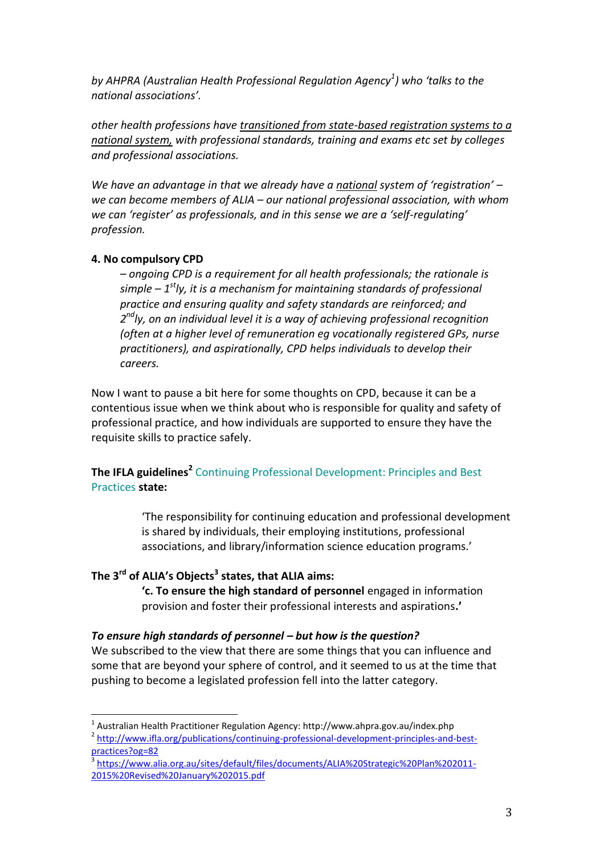*by AHPRA (Australian Health Professional Regulation Agency<sup>1</sup> ) who 'talks to the national associations'.*

*other health professions have transitioned from state-based registration systems to a national system, with professional standards, training and exams etc set by colleges and professional associations.* 

*We have an advantage in that we already have a national system of 'registration' – we can become members of ALIA – our national professional association, with whom we can 'register' as professionals, and in this sense we are a 'self-regulating' profession.* 

### **4. No compulsory CPD**

 $\overline{a}$ 

*– ongoing CPD is a requirement for all health professionals; the rationale is simple – 1 stly, it is a mechanism for maintaining standards of professional practice and ensuring quality and safety standards are reinforced; and 2 ndly, on an individual level it is a way of achieving professional recognition (often at a higher level of remuneration eg vocationally registered GPs, nurse practitioners), and aspirationally, CPD helps individuals to develop their careers.* 

Now I want to pause a bit here for some thoughts on CPD, because it can be a contentious issue when we think about who is responsible for quality and safety of professional practice, and how individuals are supported to ensure they have the requisite skills to practice safely.

## **The IFLA guidelines<sup>2</sup>** Continuing Professional Development: Principles and Best Practices **state:**

'The responsibility for continuing education and professional development is shared by individuals, their employing institutions, professional associations, and library/information science education programs.'

## **The 3rd of ALIA's Objects<sup>3</sup> states, that ALIA aims:**

**'c. To ensure the high standard of personnel** engaged in information provision and foster their professional interests and aspirations**.'**

### *To ensure high standards of personnel – but how is the question?*

We subscribed to the view that there are some things that you can influence and some that are beyond your sphere of control, and it seemed to us at the time that pushing to become a legislated profession fell into the latter category.

 $^1$  Australian Health Practitioner Regulation Agency: http://www.ahpra.gov.au/index.php

<sup>&</sup>lt;sup>2</sup> [http://www.ifla.org/publications/continuing-professional-development-principles-and-best](http://www.ifla.org/publications/continuing-professional-development-principles-and-best-practices?og=82)[practices?og=82](http://www.ifla.org/publications/continuing-professional-development-principles-and-best-practices?og=82)

<sup>3</sup> [https://www.alia.org.au/sites/default/files/documents/ALIA%20Strategic%20Plan%202011-](https://www.alia.org.au/sites/default/files/documents/ALIA%20Strategic%20Plan%202011-2015%20Revised%20January%202015.pdf) [2015%20Revised%20January%202015.pdf](https://www.alia.org.au/sites/default/files/documents/ALIA%20Strategic%20Plan%202011-2015%20Revised%20January%202015.pdf)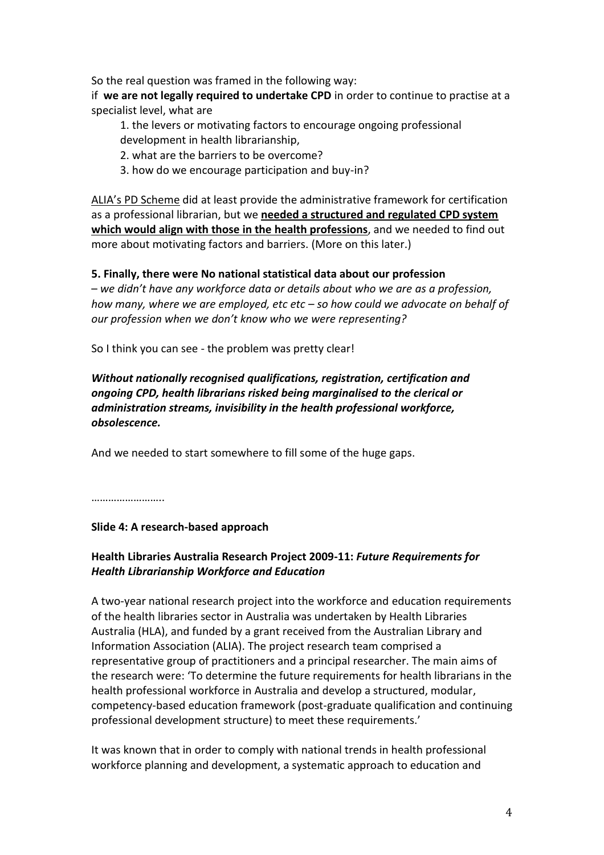So the real question was framed in the following way:

if **we are not legally required to undertake CPD** in order to continue to practise at a specialist level, what are

1. the levers or motivating factors to encourage ongoing professional

- development in health librarianship,
- 2. what are the barriers to be overcome?
- 3. how do we encourage participation and buy-in?

ALIA's PD Scheme did at least provide the administrative framework for certification as a professional librarian, but we **needed a structured and regulated CPD system which would align with those in the health professions**, and we needed to find out more about motivating factors and barriers. (More on this later.)

## **5. Finally, there were No national statistical data about our profession**

– *we didn't have any workforce data or details about who we are as a profession, how many, where we are employed, etc etc – so how could we advocate on behalf of our profession when we don't know who we were representing?* 

So I think you can see - the problem was pretty clear!

*Without nationally recognised qualifications, registration, certification and ongoing CPD, health librarians risked being marginalised to the clerical or administration streams, invisibility in the health professional workforce, obsolescence.*

And we needed to start somewhere to fill some of the huge gaps.

……………………………

### **Slide 4: A research-based approach**

## **Health Libraries Australia Research Project 2009-11:** *Future Requirements for Health Librarianship Workforce and Education*

A two-year national research project into the workforce and education requirements of the health libraries sector in Australia was undertaken by Health Libraries Australia (HLA), and funded by a grant received from the Australian Library and Information Association (ALIA). The project research team comprised a representative group of practitioners and a principal researcher. The main aims of the research were: 'To determine the future requirements for health librarians in the health professional workforce in Australia and develop a structured, modular, competency-based education framework (post-graduate qualification and continuing professional development structure) to meet these requirements.'

It was known that in order to comply with national trends in health professional workforce planning and development, a systematic approach to education and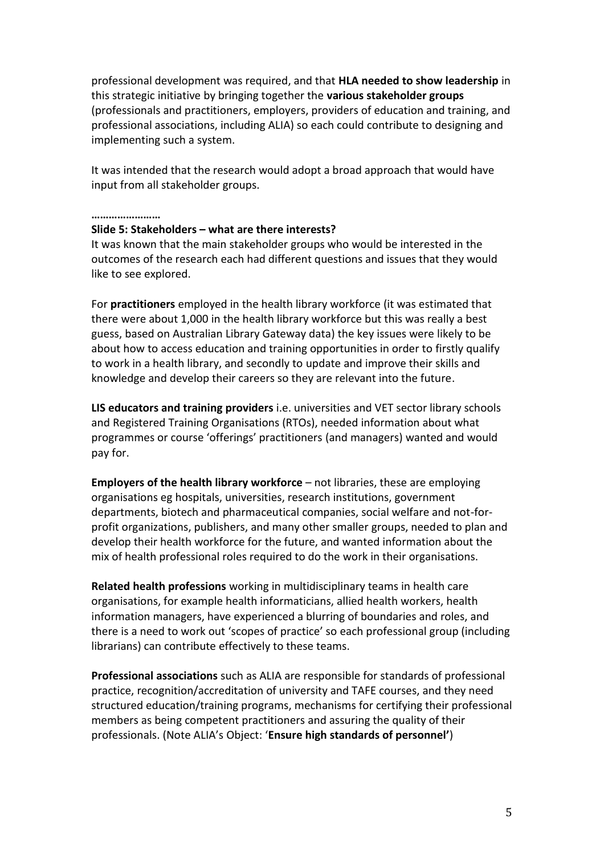professional development was required, and that **HLA needed to show leadership** in this strategic initiative by bringing together the **various stakeholder groups** (professionals and practitioners, employers, providers of education and training, and professional associations, including ALIA) so each could contribute to designing and implementing such a system.

It was intended that the research would adopt a broad approach that would have input from all stakeholder groups.

#### **……………………**

#### **Slide 5: Stakeholders – what are there interests?**

It was known that the main stakeholder groups who would be interested in the outcomes of the research each had different questions and issues that they would like to see explored.

For **practitioners** employed in the health library workforce (it was estimated that there were about 1,000 in the health library workforce but this was really a best guess, based on Australian Library Gateway data) the key issues were likely to be about how to access education and training opportunities in order to firstly qualify to work in a health library, and secondly to update and improve their skills and knowledge and develop their careers so they are relevant into the future.

**LIS educators and training providers** i.e. universities and VET sector library schools and Registered Training Organisations (RTOs), needed information about what programmes or course 'offerings' practitioners (and managers) wanted and would pay for.

**Employers of the health library workforce** – not libraries, these are employing organisations eg hospitals, universities, research institutions, government departments, biotech and pharmaceutical companies, social welfare and not-forprofit organizations, publishers, and many other smaller groups, needed to plan and develop their health workforce for the future, and wanted information about the mix of health professional roles required to do the work in their organisations.

**Related health professions** working in multidisciplinary teams in health care organisations, for example health informaticians, allied health workers, health information managers, have experienced a blurring of boundaries and roles, and there is a need to work out 'scopes of practice' so each professional group (including librarians) can contribute effectively to these teams.

**Professional associations** such as ALIA are responsible for standards of professional practice, recognition/accreditation of university and TAFE courses, and they need structured education/training programs, mechanisms for certifying their professional members as being competent practitioners and assuring the quality of their professionals. (Note ALIA's Object: '**Ensure high standards of personnel'**)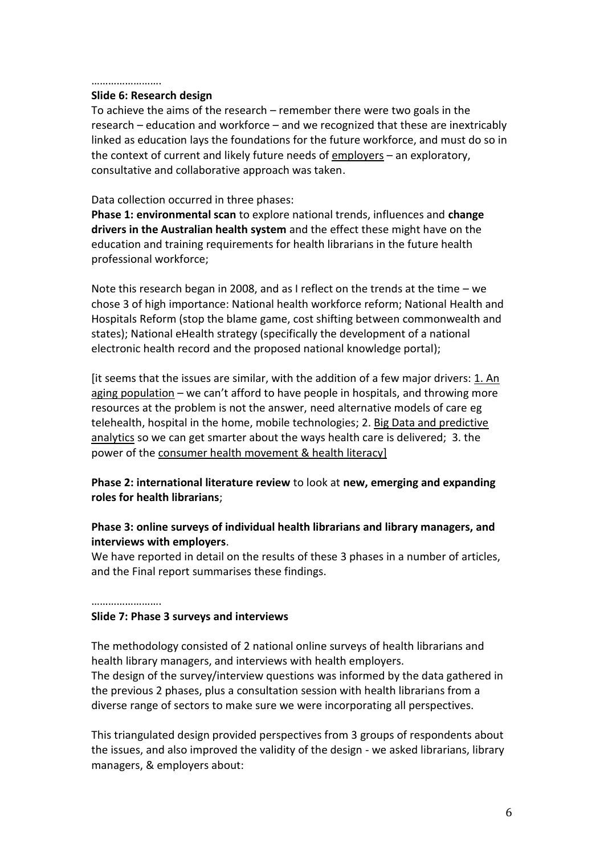#### …………………….

#### **Slide 6: Research design**

To achieve the aims of the research – remember there were two goals in the research – education and workforce – and we recognized that these are inextricably linked as education lays the foundations for the future workforce, and must do so in the context of current and likely future needs of employers - an exploratory, consultative and collaborative approach was taken.

### Data collection occurred in three phases:

**Phase 1: environmental scan** to explore national trends, influences and **change drivers in the Australian health system** and the effect these might have on the education and training requirements for health librarians in the future health professional workforce;

Note this research began in 2008, and as I reflect on the trends at the time – we chose 3 of high importance: National health workforce reform; National Health and Hospitals Reform (stop the blame game, cost shifting between commonwealth and states); National eHealth strategy (specifically the development of a national electronic health record and the proposed national knowledge portal);

[it seems that the issues are similar, with the addition of a few major drivers: 1. An aging population – we can't afford to have people in hospitals, and throwing more resources at the problem is not the answer, need alternative models of care eg telehealth, hospital in the home, mobile technologies; 2. Big Data and predictive analytics so we can get smarter about the ways health care is delivered; 3. the power of the consumer health movement & health literacy]

### **Phase 2: international literature review** to look at **new, emerging and expanding roles for health librarians**;

### **Phase 3: online surveys of individual health librarians and library managers, and interviews with employers**.

We have reported in detail on the results of these 3 phases in a number of articles, and the Final report summarises these findings.

………………………

### **Slide 7: Phase 3 surveys and interviews**

The methodology consisted of 2 national online surveys of health librarians and health library managers, and interviews with health employers. The design of the survey/interview questions was informed by the data gathered in the previous 2 phases, plus a consultation session with health librarians from a diverse range of sectors to make sure we were incorporating all perspectives.

This triangulated design provided perspectives from 3 groups of respondents about the issues, and also improved the validity of the design - we asked librarians, library managers, & employers about: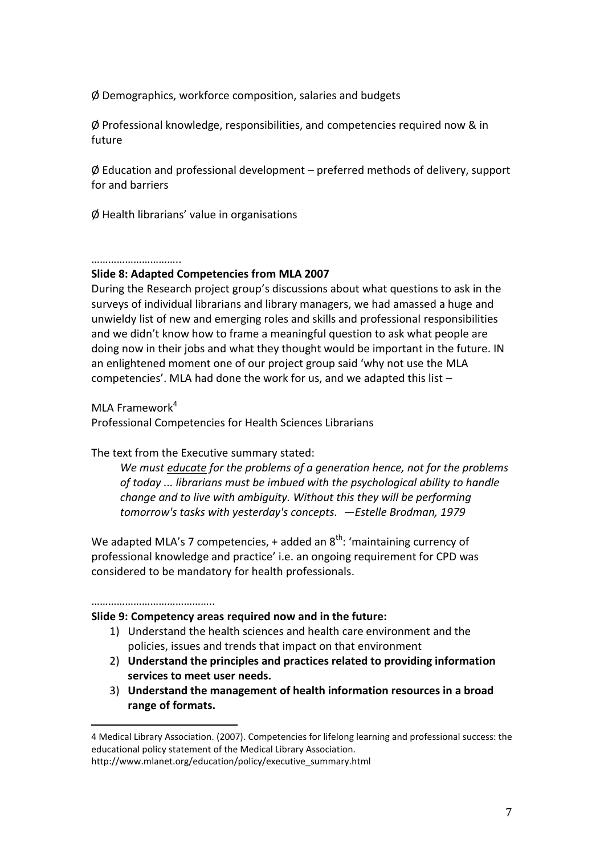Ø Demographics, workforce composition, salaries and budgets

Ø Professional knowledge, responsibilities, and competencies required now & in future

 $\phi$  Education and professional development – preferred methods of delivery, support for and barriers

Ø Health librarians' value in organisations

#### ……………………………

### **Slide 8: Adapted Competencies from MLA 2007**

During the Research project group's discussions about what questions to ask in the surveys of individual librarians and library managers, we had amassed a huge and unwieldy list of new and emerging roles and skills and professional responsibilities and we didn't know how to frame a meaningful question to ask what people are doing now in their jobs and what they thought would be important in the future. IN an enlightened moment one of our project group said 'why not use the MLA competencies'. MLA had done the work for us, and we adapted this list –

MLA Framework $4$ 

Professional Competencies for Health Sciences Librarians

The text from the Executive summary stated:

*We must educate for the problems of a generation hence, not for the problems of today ... librarians must be imbued with the psychological ability to handle change and to live with ambiguity. Without this they will be performing tomorrow's tasks with yesterday's concepts. —Estelle Brodman, 1979*

We adapted MLA's 7 competencies,  $+$  added an  $8<sup>th</sup>$ : 'maintaining currency of professional knowledge and practice' i.e. an ongoing requirement for CPD was considered to be mandatory for health professionals.

………………………………………

 $\overline{a}$ 

### **Slide 9: Competency areas required now and in the future:**

- 1) Understand the health sciences and health care environment and the policies, issues and trends that impact on that environment
- 2) **Understand the principles and practices related to providing information services to meet user needs.**
- 3) **Understand the management of health information resources in a broad range of formats.**

<sup>4</sup> Medical Library Association. (2007). Competencies for lifelong learning and professional success: the educational policy statement of the Medical Library Association.

http://www.mlanet.org/education/policy/executive\_summary.html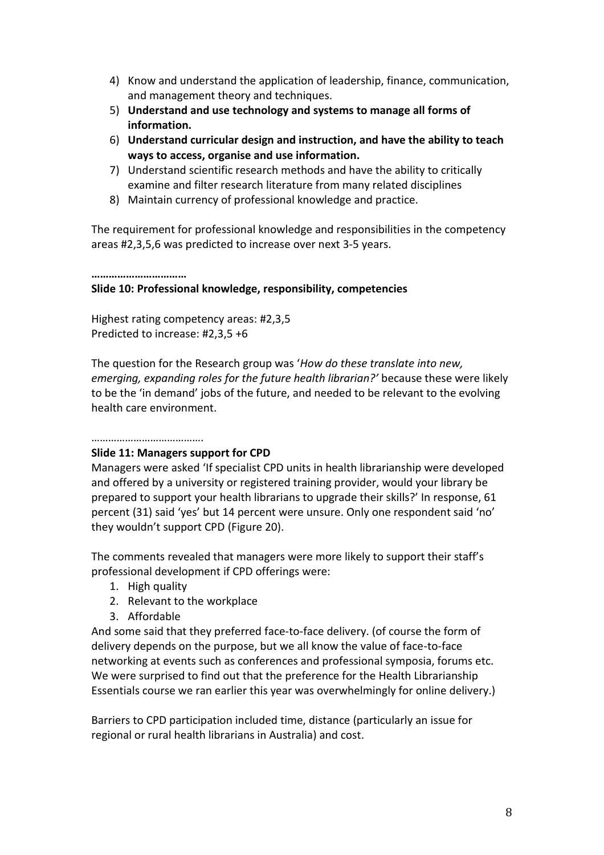- 4) Know and understand the application of leadership, finance, communication, and management theory and techniques.
- 5) **Understand and use technology and systems to manage all forms of information.**
- 6) **Understand curricular design and instruction, and have the ability to teach ways to access, organise and use information.**
- 7) Understand scientific research methods and have the ability to critically examine and filter research literature from many related disciplines
- 8) Maintain currency of professional knowledge and practice.

The requirement for professional knowledge and responsibilities in the competency areas #2,3,5,6 was predicted to increase over next 3-5 years.

**……………………………**

## **Slide 10: Professional knowledge, responsibility, competencies**

Highest rating competency areas: #2,3,5 Predicted to increase: #2,3,5 +6

The question for the Research group was '*How do these translate into new, emerging, expanding roles for the future health librarian?'* because these were likely to be the 'in demand' jobs of the future, and needed to be relevant to the evolving health care environment.

### ……………………………………

### **Slide 11: Managers support for CPD**

Managers were asked 'If specialist CPD units in health librarianship were developed and offered by a university or registered training provider, would your library be prepared to support your health librarians to upgrade their skills?' In response, 61 percent (31) said 'yes' but 14 percent were unsure. Only one respondent said 'no' they wouldn't support CPD (Figure 20).

The comments revealed that managers were more likely to support their staff's professional development if CPD offerings were:

- 1. High quality
- 2. Relevant to the workplace
- 3. Affordable

And some said that they preferred face-to-face delivery. (of course the form of delivery depends on the purpose, but we all know the value of face-to-face networking at events such as conferences and professional symposia, forums etc. We were surprised to find out that the preference for the Health Librarianship Essentials course we ran earlier this year was overwhelmingly for online delivery.)

Barriers to CPD participation included time, distance (particularly an issue for regional or rural health librarians in Australia) and cost.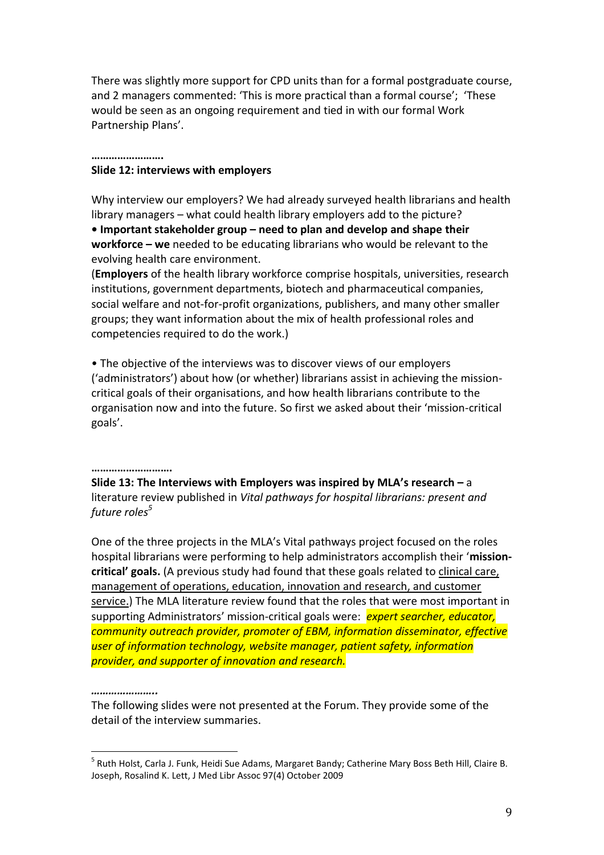There was slightly more support for CPD units than for a formal postgraduate course, and 2 managers commented: 'This is more practical than a formal course'; 'These would be seen as an ongoing requirement and tied in with our formal Work Partnership Plans'.

#### **…………………….**

#### **Slide 12: interviews with employers**

Why interview our employers? We had already surveyed health librarians and health library managers – what could health library employers add to the picture?

**• Important stakeholder group – need to plan and develop and shape their workforce – we** needed to be educating librarians who would be relevant to the evolving health care environment.

(**Employers** of the health library workforce comprise hospitals, universities, research institutions, government departments, biotech and pharmaceutical companies, social welfare and not-for-profit organizations, publishers, and many other smaller groups; they want information about the mix of health professional roles and competencies required to do the work.)

• The objective of the interviews was to discover views of our employers ('administrators') about how (or whether) librarians assist in achieving the missioncritical goals of their organisations, and how health librarians contribute to the organisation now and into the future. So first we asked about their 'mission-critical goals'.

#### **……………………….**

**Slide 13: The Interviews with Employers was inspired by MLA's research –** a literature review published in *Vital pathways for hospital librarians: present and future roles<sup>5</sup>*

One of the three projects in the MLA's Vital pathways project focused on the roles hospital librarians were performing to help administrators accomplish their '**missioncritical' goals.** (A previous study had found that these goals related to clinical care, management of operations, education, innovation and research, and customer service.) The MLA literature review found that the roles that were most important in supporting Administrators' mission-critical goals were: *expert searcher, educator, community outreach provider, promoter of EBM, information disseminator, effective user of information technology, website manager, patient safety, information provider, and supporter of innovation and research.*

#### *…………………..*

 $\overline{a}$ 

The following slides were not presented at the Forum. They provide some of the detail of the interview summaries.

<sup>&</sup>lt;sup>5</sup> Ruth Holst, Carla J. Funk, Heidi Sue Adams, Margaret Bandy; Catherine Mary Boss Beth Hill, Claire B. Joseph, Rosalind K. Lett, J Med Libr Assoc 97(4) October 2009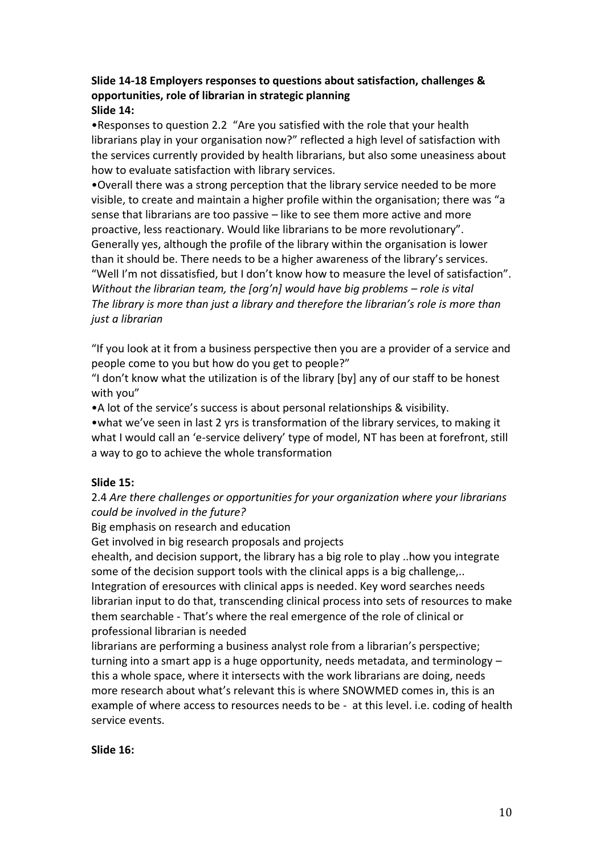### **Slide 14-18 Employers responses to questions about satisfaction, challenges & opportunities, role of librarian in strategic planning Slide 14:**

•Responses to question 2.2 "Are you satisfied with the role that your health librarians play in your organisation now?" reflected a high level of satisfaction with the services currently provided by health librarians, but also some uneasiness about how to evaluate satisfaction with library services.

•Overall there was a strong perception that the library service needed to be more visible, to create and maintain a higher profile within the organisation; there was "a sense that librarians are too passive – like to see them more active and more proactive, less reactionary. Would like librarians to be more revolutionary". Generally yes, although the profile of the library within the organisation is lower than it should be. There needs to be a higher awareness of the library's services. "Well I'm not dissatisfied, but I don't know how to measure the level of satisfaction". *Without the librarian team, the [org'n] would have big problems – role is vital The library is more than just a library and therefore the librarian's role is more than just a librarian*

"If you look at it from a business perspective then you are a provider of a service and people come to you but how do you get to people?"

"I don't know what the utilization is of the library [by] any of our staff to be honest with you"

•A lot of the service's success is about personal relationships & visibility.

•what we've seen in last 2 yrs is transformation of the library services, to making it what I would call an 'e-service delivery' type of model, NT has been at forefront, still a way to go to achieve the whole transformation

### **Slide 15:**

2.4 *Are there challenges or opportunities for your organization where your librarians could be involved in the future?*

Big emphasis on research and education

Get involved in big research proposals and projects

ehealth, and decision support, the library has a big role to play ..how you integrate some of the decision support tools with the clinical apps is a big challenge,.. Integration of eresources with clinical apps is needed. Key word searches needs librarian input to do that, transcending clinical process into sets of resources to make them searchable - That's where the real emergence of the role of clinical or professional librarian is needed

librarians are performing a business analyst role from a librarian's perspective; turning into a smart app is a huge opportunity, needs metadata, and terminology – this a whole space, where it intersects with the work librarians are doing, needs more research about what's relevant this is where SNOWMED comes in, this is an example of where access to resources needs to be - at this level. i.e. coding of health service events.

### **Slide 16:**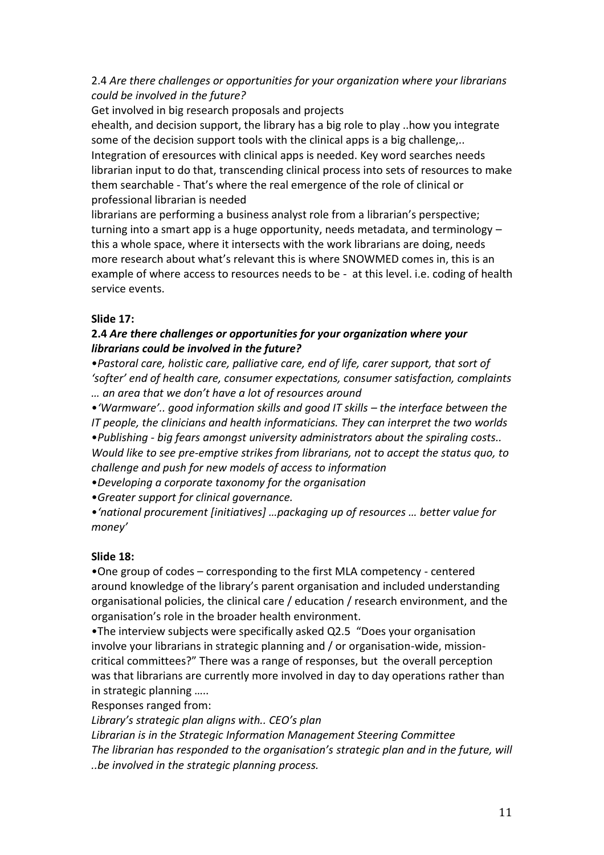## 2.4 *Are there challenges or opportunities for your organization where your librarians could be involved in the future?*

Get involved in big research proposals and projects

ehealth, and decision support, the library has a big role to play ..how you integrate some of the decision support tools with the clinical apps is a big challenge,.. Integration of eresources with clinical apps is needed. Key word searches needs librarian input to do that, transcending clinical process into sets of resources to make them searchable - That's where the real emergence of the role of clinical or professional librarian is needed

librarians are performing a business analyst role from a librarian's perspective; turning into a smart app is a huge opportunity, needs metadata, and terminology – this a whole space, where it intersects with the work librarians are doing, needs more research about what's relevant this is where SNOWMED comes in, this is an example of where access to resources needs to be - at this level. i.e. coding of health service events.

## **Slide 17:**

## **2.4** *Are there challenges or opportunities for your organization where your librarians could be involved in the future?*

•*Pastoral care, holistic care, palliative care, end of life, carer support, that sort of 'softer' end of health care, consumer expectations, consumer satisfaction, complaints … an area that we don't have a lot of resources around* 

•*'Warmware'.. good information skills and good IT skills – the interface between the IT people, the clinicians and health informaticians. They can interpret the two worlds* •*Publishing - big fears amongst university administrators about the spiraling costs.. Would like to see pre-emptive strikes from librarians, not to accept the status quo, to challenge and push for new models of access to information* 

•*Developing a corporate taxonomy for the organisation* 

•*Greater support for clinical governance.*

•*'national procurement [initiatives] …packaging up of resources … better value for money'*

## **Slide 18:**

•One group of codes – corresponding to the first MLA competency - centered around knowledge of the library's parent organisation and included understanding organisational policies, the clinical care / education / research environment, and the organisation's role in the broader health environment.

•The interview subjects were specifically asked Q2.5 "Does your organisation involve your librarians in strategic planning and / or organisation-wide, missioncritical committees?" There was a range of responses, but the overall perception was that librarians are currently more involved in day to day operations rather than in strategic planning …..

Responses ranged from:

*Library's strategic plan aligns with.. CEO's plan*

*Librarian is in the Strategic Information Management Steering Committee The librarian has responded to the organisation's strategic plan and in the future, will ..be involved in the strategic planning process.*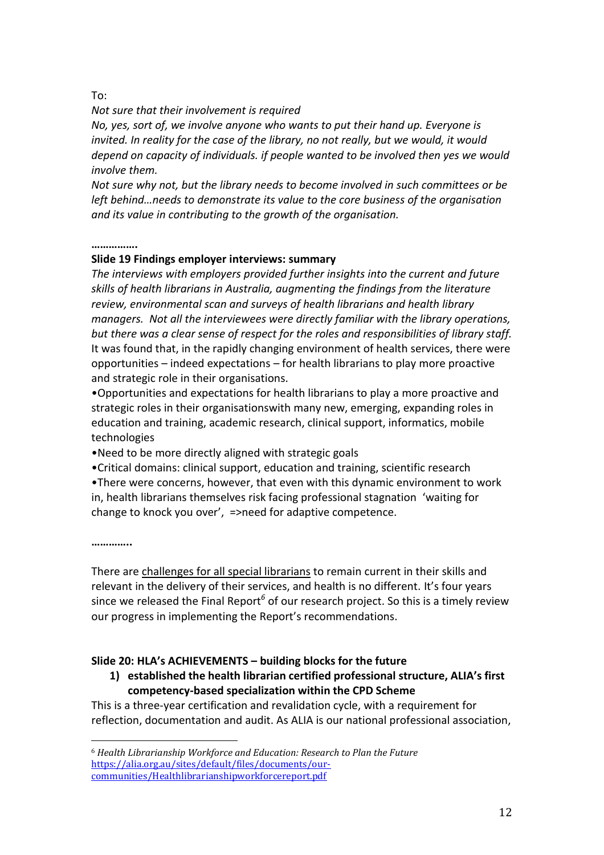### To:

### *Not sure that their involvement is required*

*No, yes, sort of, we involve anyone who wants to put their hand up. Everyone is*  invited. In reality for the case of the library, no not really, but we would, it would *depend on capacity of individuals. if people wanted to be involved then yes we would involve them.* 

*Not sure why not, but the library needs to become involved in such committees or be left behind…needs to demonstrate its value to the core business of the organisation and its value in contributing to the growth of the organisation.*

#### **…………….**

### **Slide 19 Findings employer interviews: summary**

*The interviews with employers provided further insights into the current and future skills of health librarians in Australia, augmenting the findings from the literature review, environmental scan and surveys of health librarians and health library managers. Not all the interviewees were directly familiar with the library operations, but there was a clear sense of respect for the roles and responsibilities of library staff.*  It was found that, in the rapidly changing environment of health services, there were opportunities – indeed expectations – for health librarians to play more proactive and strategic role in their organisations.

•Opportunities and expectations for health librarians to play a more proactive and strategic roles in their organisationswith many new, emerging, expanding roles in education and training, academic research, clinical support, informatics, mobile technologies

•Need to be more directly aligned with strategic goals

•Critical domains: clinical support, education and training, scientific research •There were concerns, however, that even with this dynamic environment to work in, health librarians themselves risk facing professional stagnation 'waiting for change to knock you over', =>need for adaptive competence.

**…………..**

 $\overline{a}$ 

There are challenges for all special librarians to remain current in their skills and relevant in the delivery of their services, and health is no different. It's four years since we released the Final Report<sup>6</sup> of our research project. So this is a timely review our progress in implementing the Report's recommendations.

### **Slide 20: HLA's ACHIEVEMENTS – building blocks for the future**

## **1) established the health librarian certified professional structure, ALIA's first competency-based specialization within the CPD Scheme**

This is a three-year certification and revalidation cycle, with a requirement for reflection, documentation and audit. As ALIA is our national professional association,

<sup>6</sup> *Health Librarianship Workforce and Education: Research to Plan the Future* [https://alia.org.au/sites/default/files/documents/our](https://alia.org.au/sites/default/files/documents/our-communities/Healthlibrarianshipworkforcereport.pdf)[communities/Healthlibrarianshipworkforcereport.pdf](https://alia.org.au/sites/default/files/documents/our-communities/Healthlibrarianshipworkforcereport.pdf)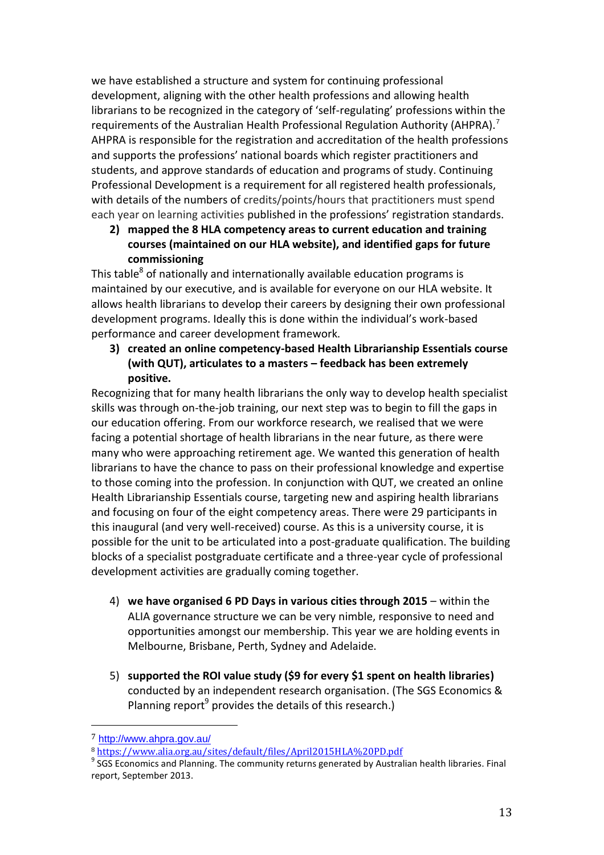we have established a structure and system for continuing professional development, aligning with the other health professions and allowing health librarians to be recognized in the category of 'self-regulating' professions within the requirements of the Australian Health Professional Regulation Authority (AHPRA).<sup>7</sup> AHPRA is responsible for the registration and accreditation of the health professions and supports the professions' national boards which register practitioners and students, and approve standards of education and programs of study. Continuing Professional Development is a requirement for all registered health professionals, with details of the numbers of credits/points/hours that practitioners must spend each year on learning activities published in the professions' registration standards.

**2) mapped the 8 HLA competency areas to current education and training courses (maintained on our HLA website), and identified gaps for future commissioning** 

This table $^8$  of nationally and internationally available education programs is maintained by our executive, and is available for everyone on our HLA website. It allows health librarians to develop their careers by designing their own professional development programs. Ideally this is done within the individual's work-based performance and career development framework.

**3) created an online competency-based Health Librarianship Essentials course (with QUT), articulates to a masters – feedback has been extremely positive.** 

Recognizing that for many health librarians the only way to develop health specialist skills was through on-the-job training, our next step was to begin to fill the gaps in our education offering. From our workforce research, we realised that we were facing a potential shortage of health librarians in the near future, as there were many who were approaching retirement age. We wanted this generation of health librarians to have the chance to pass on their professional knowledge and expertise to those coming into the profession. In conjunction with QUT, we created an online Health Librarianship Essentials course, targeting new and aspiring health librarians and focusing on four of the eight competency areas. There were 29 participants in this inaugural (and very well-received) course. As this is a university course, it is possible for the unit to be articulated into a post-graduate qualification. The building blocks of a specialist postgraduate certificate and a three-year cycle of professional development activities are gradually coming together.

- 4) **we have organised 6 PD Days in various cities through 2015**  within the ALIA governance structure we can be very nimble, responsive to need and opportunities amongst our membership. This year we are holding events in Melbourne, Brisbane, Perth, Sydney and Adelaide.
- 5) **supported the ROI value study (\$9 for every \$1 spent on health libraries)** conducted by an independent research organisation. (The SGS Economics & Planning report<sup>9</sup> provides the details of this research.)

 $\overline{a}$ 

<sup>7</sup> <http://www.ahpra.gov.au/>

<sup>8</sup> <https://www.alia.org.au/sites/default/files/April2015HLA%20PD.pdf>

 $9$  SGS Economics and Planning. The community returns generated by Australian health libraries. Final report, September 2013.